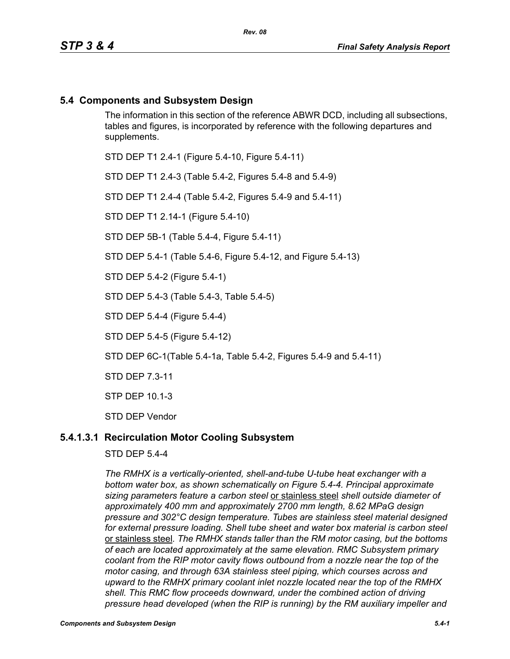# **5.4 Components and Subsystem Design**

The information in this section of the reference ABWR DCD, including all subsections, tables and figures, is incorporated by reference with the following departures and supplements.

STD DEP T1 2.4-1 (Figure 5.4-10, Figure 5.4-11)

STD DEP T1 2.4-3 (Table 5.4-2, Figures 5.4-8 and 5.4-9)

STD DEP T1 2.4-4 (Table 5.4-2, Figures 5.4-9 and 5.4-11)

STD DEP T1 2.14-1 (Figure 5.4-10)

STD DEP 5B-1 (Table 5.4-4, Figure 5.4-11)

STD DEP 5.4-1 (Table 5.4-6, Figure 5.4-12, and Figure 5.4-13)

STD DEP 5.4-2 (Figure 5.4-1)

STD DEP 5.4-3 (Table 5.4-3, Table 5.4-5)

STD DEP 5.4-4 (Figure 5.4-4)

STD DEP 5.4-5 (Figure 5.4-12)

STD DEP 6C-1(Table 5.4-1a, Table 5.4-2, Figures 5.4-9 and 5.4-11)

STD DEP 7.3-11

STP DEP 10.1-3

STD DEP Vendor

## **5.4.1.3.1 Recirculation Motor Cooling Subsystem**

STD DEP 5.4-4

*The RMHX is a vertically-oriented, shell-and-tube U-tube heat exchanger with a bottom water box, as shown schematically on Figure 5.4-4. Principal approximate sizing parameters feature a carbon steel* or stainless steel *shell outside diameter of approximately 400 mm and approximately 2700 mm length, 8.62 MPaG design pressure and 302°C design temperature. Tubes are stainless steel material designed for external pressure loading. Shell tube sheet and water box material is carbon steel*  or stainless steel*. The RMHX stands taller than the RM motor casing, but the bottoms of each are located approximately at the same elevation. RMC Subsystem primary coolant from the RIP motor cavity flows outbound from a nozzle near the top of the motor casing, and through 63A stainless steel piping, which courses across and upward to the RMHX primary coolant inlet nozzle located near the top of the RMHX shell. This RMC flow proceeds downward, under the combined action of driving pressure head developed (when the RIP is running) by the RM auxiliary impeller and*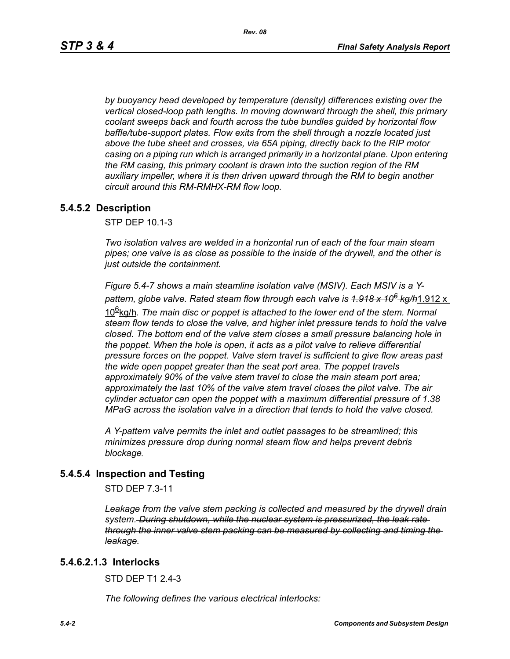*by buoyancy head developed by temperature (density) differences existing over the vertical closed-loop path lengths. In moving downward through the shell, this primary coolant sweeps back and fourth across the tube bundles guided by horizontal flow baffle/tube-support plates. Flow exits from the shell through a nozzle located just above the tube sheet and crosses, via 65A piping, directly back to the RIP motor casing on a piping run which is arranged primarily in a horizontal plane. Upon entering the RM casing, this primary coolant is drawn into the suction region of the RM auxiliary impeller, where it is then driven upward through the RM to begin another circuit around this RM-RMHX-RM flow loop.*

## **5.4.5.2 Description**

STP DEP 10.1-3

*Two isolation valves are welded in a horizontal run of each of the four main steam pipes; one valve is as close as possible to the inside of the drywell, and the other is just outside the containment.* 

*Figure 5.4-7 shows a main steamline isolation valve (MSIV). Each MSIV is a Ypattern, globe valve. Rated steam flow through each valve is 1.918 x 106 kg/h*1.912 x

10<sup>g</sup>kg/h. The main disc or poppet is attached to the lower end of the stem. Normal *steam flow tends to close the valve, and higher inlet pressure tends to hold the valve closed. The bottom end of the valve stem closes a small pressure balancing hole in the poppet. When the hole is open, it acts as a pilot valve to relieve differential pressure forces on the poppet. Valve stem travel is sufficient to give flow areas past the wide open poppet greater than the seat port area. The poppet travels approximately 90% of the valve stem travel to close the main steam port area; approximately the last 10% of the valve stem travel closes the pilot valve. The air cylinder actuator can open the poppet with a maximum differential pressure of 1.38 MPaG across the isolation valve in a direction that tends to hold the valve closed.* 

*A Y-pattern valve permits the inlet and outlet passages to be streamlined; this minimizes pressure drop during normal steam flow and helps prevent debris blockage.*

## **5.4.5.4 Inspection and Testing**

STD DEP 7.3-11

*Leakage from the valve stem packing is collected and measured by the drywell drain system. During shutdown, while the nuclear system is pressurized, the leak rate through the inner valve stem packing can be measured by collecting and timing the leakage.*

### **5.4.6.2.1.3 Interlocks**

STD DFP T1 2 4-3

*The following defines the various electrical interlocks:*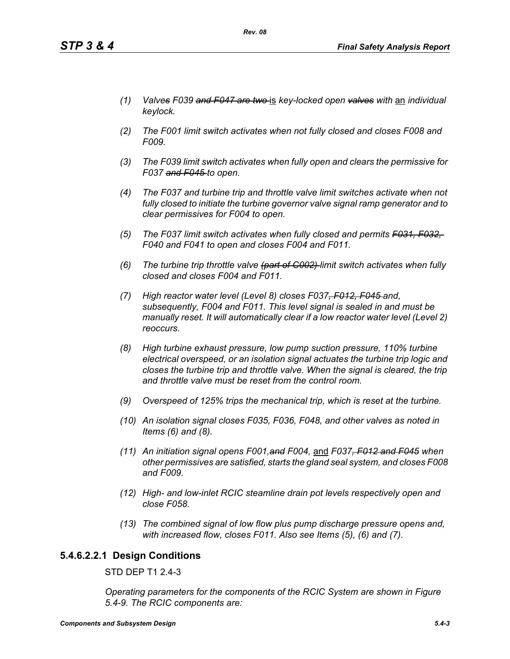- *(1) Valves F039 and F047 are two* is *key-locked open valves with* an *individual keylock.*
- *(2) The F001 limit switch activates when not fully closed and closes F008 and F009.*
- *(3) The F039 limit switch activates when fully open and clears the permissive for F037 and F045 to open.*
- *(4) The F037 and turbine trip and throttle valve limit switches activate when not fully closed to initiate the turbine governor valve signal ramp generator and to clear permissives for F004 to open.*
- *(5) The F037 limit switch activates when fully closed and permits F031, F032, F040 and F041 to open and closes F004 and F011.*
- *(6) The turbine trip throttle valve (part of C002) limit switch activates when fully closed and closes F004 and F011.*
- *(7) High reactor water level (Level 8) closes F037, F012, F045 and, subsequently, F004 and F011. This level signal is sealed in and must be manually reset. It will automatically clear if a low reactor water level (Level 2) reoccurs.*
- *(8) High turbine exhaust pressure, low pump suction pressure, 110% turbine electrical overspeed, or an isolation signal actuates the turbine trip logic and closes the turbine trip and throttle valve. When the signal is cleared, the trip and throttle valve must be reset from the control room.*
- *(9) Overspeed of 125% trips the mechanical trip, which is reset at the turbine.*
- *(10) An isolation signal closes F035, F036, F048, and other valves as noted in Items (6) and (8).*
- *(11) An initiation signal opens F001,and F004,* and *F037, F012 and F045 when other permissives are satisfied, starts the gland seal system, and closes F008 and F009.*
- *(12) High- and low-inlet RCIC steamline drain pot levels respectively open and close F058.*
- *(13) The combined signal of low flow plus pump discharge pressure opens and, with increased flow, closes F011. Also see Items (5), (6) and (7).*

# **5.4.6.2.2.1 Design Conditions**

STD DEP T1 2.4-3

*Operating parameters for the components of the RCIC System are shown in Figure 5.4-9. The RCIC components are:*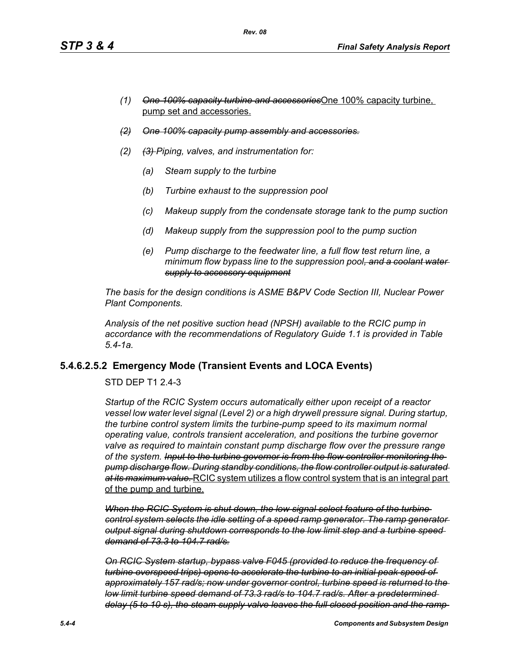- *(1) One 100% capacity turbine and accessories*One 100% capacity turbine, pump set and accessories.
- *(2) One 100% capacity pump assembly and accessories.*
- *(2) (3) Piping, valves, and instrumentation for:*
	- *(a) Steam supply to the turbine*
	- *(b) Turbine exhaust to the suppression pool*
	- *(c) Makeup supply from the condensate storage tank to the pump suction*
	- *(d) Makeup supply from the suppression pool to the pump suction*
	- *(e) Pump discharge to the feedwater line, a full flow test return line, a minimum flow bypass line to the suppression pool, and a coolant water supply to accessory equipment*

*The basis for the design conditions is ASME B&PV Code Section III, Nuclear Power Plant Components.*

*Analysis of the net positive suction head (NPSH) available to the RCIC pump in accordance with the recommendations of Regulatory Guide 1.1 is provided in Table 5.4-1a.*

# **5.4.6.2.5.2 Emergency Mode (Transient Events and LOCA Events)**

STD DEP T1 2.4-3

*Startup of the RCIC System occurs automatically either upon receipt of a reactor vessel low water level signal (Level 2) or a high drywell pressure signal. During startup, the turbine control system limits the turbine-pump speed to its maximum normal operating value, controls transient acceleration, and positions the turbine governor valve as required to maintain constant pump discharge flow over the pressure range of the system. Input to the turbine governor is from the flow controller monitoring the pump discharge flow. During standby conditions, the flow controller output is saturated at its maximum value.* RCIC system utilizes a flow control system that is an integral part of the pump and turbine.

*When the RCIC System is shut down, the low signal select feature of the turbine control system selects the idle setting of a speed ramp generator. The ramp generator output signal during shutdown corresponds to the low limit step and a turbine speed demand of 73.3 to 104.7 rad/s.*

*On RCIC System startup, bypass valve F045 (provided to reduce the frequency of turbine overspeed trips) opens to accelerate the turbine to an initial peak speed of approximately 157 rad/s; now under governor control, turbine speed is returned to the low limit turbine speed demand of 73.3 rad/s to 104.7 rad/s. After a predetermined delay (5 to 10 s), the steam supply valve leaves the full closed position and the ramp*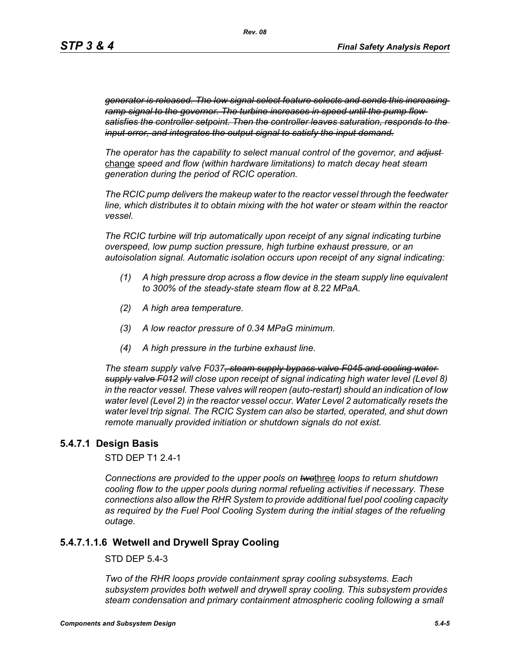*generator is released. The low signal select feature selects and sends this increasing ramp signal to the governor. The turbine increases in speed until the pump flow satisfies the controller setpoint. Then the controller leaves saturation, responds to the input error, and integrates the output signal to satisfy the input demand.*

*The operator has the capability to select manual control of the governor, and adjust*  change *speed and flow (within hardware limitations) to match decay heat steam generation during the period of RCIC operation.*

*The RCIC pump delivers the makeup water to the reactor vessel through the feedwater line, which distributes it to obtain mixing with the hot water or steam within the reactor vessel.*

*The RCIC turbine will trip automatically upon receipt of any signal indicating turbine overspeed, low pump suction pressure, high turbine exhaust pressure, or an autoisolation signal. Automatic isolation occurs upon receipt of any signal indicating:*

- *(1) A high pressure drop across a flow device in the steam supply line equivalent to 300% of the steady-state steam flow at 8.22 MPaA.*
- *(2) A high area temperature.*
- *(3) A low reactor pressure of 0.34 MPaG minimum.*
- *(4) A high pressure in the turbine exhaust line.*

*The steam supply valve F037, steam supply bypass valve F045 and cooling water supply valve F012 will close upon receipt of signal indicating high water level (Level 8) in the reactor vessel. These valves will reopen (auto-restart) should an indication of low water level (Level 2) in the reactor vessel occur. Water Level 2 automatically resets the water level trip signal. The RCIC System can also be started, operated, and shut down remote manually provided initiation or shutdown signals do not exist.*

## **5.4.7.1 Design Basis**

STD DEP T1 2.4-1

*Connections are provided to the upper pools on two*three *loops to return shutdown cooling flow to the upper pools during normal refueling activities if necessary. These connections also allow the RHR System to provide additional fuel pool cooling capacity as required by the Fuel Pool Cooling System during the initial stages of the refueling outage.*

## **5.4.7.1.1.6 Wetwell and Drywell Spray Cooling**

STD DEP 5.4-3

*Two of the RHR loops provide containment spray cooling subsystems. Each subsystem provides both wetwell and drywell spray cooling. This subsystem provides steam condensation and primary containment atmospheric cooling following a small*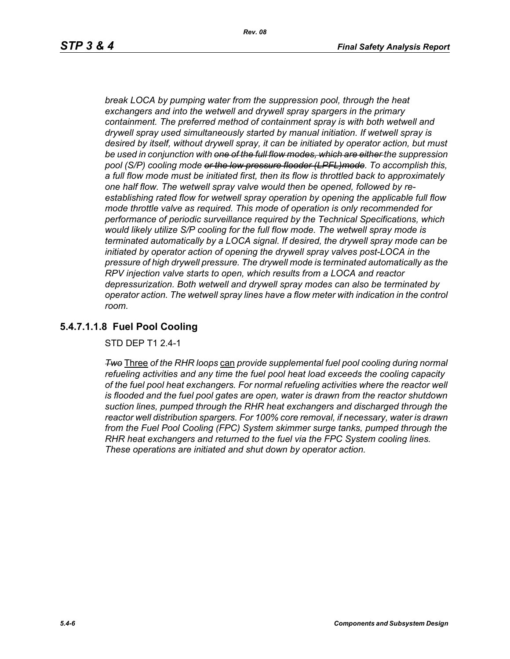*break LOCA by pumping water from the suppression pool, through the heat exchangers and into the wetwell and drywell spray spargers in the primary containment. The preferred method of containment spray is with both wetwell and drywell spray used simultaneously started by manual initiation. If wetwell spray is desired by itself, without drywell spray, it can be initiated by operator action, but must be used in conjunction with one of the full flow modes, which are either the suppression pool (S/P) cooling mode or the low pressure flooder (LPFL)mode. To accomplish this, a full flow mode must be initiated first, then its flow is throttled back to approximately one half flow. The wetwell spray valve would then be opened, followed by reestablishing rated flow for wetwell spray operation by opening the applicable full flow mode throttle valve as required. This mode of operation is only recommended for performance of periodic surveillance required by the Technical Specifications, which would likely utilize S/P cooling for the full flow mode. The wetwell spray mode is terminated automatically by a LOCA signal. If desired, the drywell spray mode can be initiated by operator action of opening the drywell spray valves post-LOCA in the pressure of high drywell pressure. The drywell mode is terminated automatically as the RPV injection valve starts to open, which results from a LOCA and reactor depressurization. Both wetwell and drywell spray modes can also be terminated by operator action. The wetwell spray lines have a flow meter with indication in the control room.*

# **5.4.7.1.1.8 Fuel Pool Cooling**

STD DEP T1 2.4-1

*Two* Three *of the RHR loops* can *provide supplemental fuel pool cooling during normal refueling activities and any time the fuel pool heat load exceeds the cooling capacity of the fuel pool heat exchangers. For normal refueling activities where the reactor well is flooded and the fuel pool gates are open, water is drawn from the reactor shutdown suction lines, pumped through the RHR heat exchangers and discharged through the reactor well distribution spargers. For 100% core removal, if necessary, water is drawn from the Fuel Pool Cooling (FPC) System skimmer surge tanks, pumped through the RHR heat exchangers and returned to the fuel via the FPC System cooling lines. These operations are initiated and shut down by operator action.*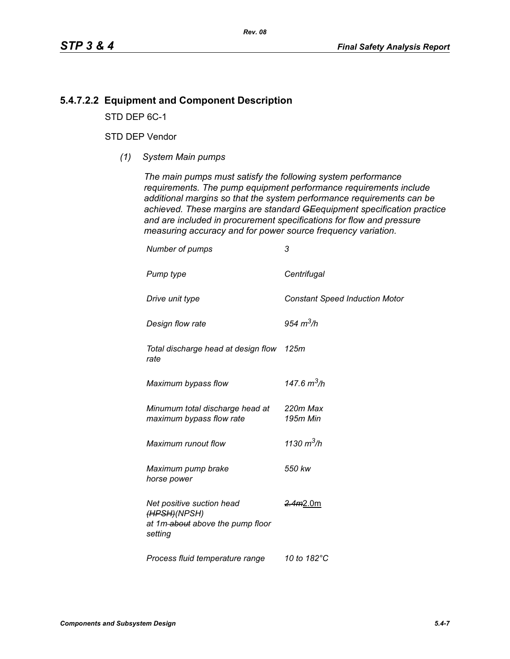# **5.4.7.2.2 Equipment and Component Description**

STD DEP 6C-1

## STD DEP Vendor

*(1) System Main pumps*

*The main pumps must satisfy the following system performance requirements. The pump equipment performance requirements include additional margins so that the system performance requirements can be achieved. These margins are standard GEequipment specification practice and are included in procurement specifications for flow and pressure measuring accuracy and for power source frequency variation.*

| Number of pumps                                                                          | 3                                     |
|------------------------------------------------------------------------------------------|---------------------------------------|
| Pump type                                                                                | Centrifugal                           |
| Drive unit type                                                                          | <b>Constant Speed Induction Motor</b> |
| Design flow rate                                                                         | 954 $m^3/h$                           |
| Total discharge head at design flow<br>rate                                              | 125m                                  |
| Maximum bypass flow                                                                      | 147.6 $m^3/h$                         |
| Minumum total discharge head at<br>maximum bypass flow rate                              | 220m Max<br>195m Min                  |
| Maximum runout flow                                                                      | 1130 $m^3/h$                          |
| Maximum pump brake<br>horse power                                                        | 550 kw                                |
| Net positive suction head<br>(HPSH)(NPSH)<br>at 1m-about above the pump floor<br>setting | 2.4m2.0m                              |
| Process fluid temperature range                                                          | 10 to 182°C                           |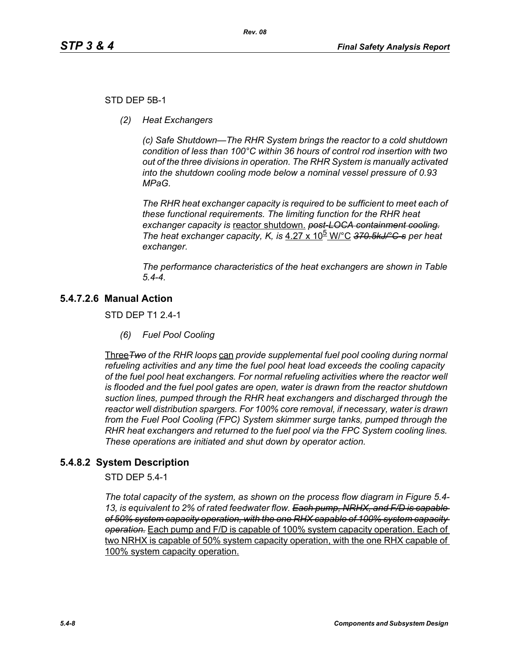## STD DEP 5B-1

*(2) Heat Exchangers*

*(c) Safe Shutdown—The RHR System brings the reactor to a cold shutdown condition of less than 100°C within 36 hours of control rod insertion with two out of the three divisions in operation. The RHR System is manually activated into the shutdown cooling mode below a nominal vessel pressure of 0.93 MPaG.* 

*The RHR heat exchanger capacity is required to be sufficient to meet each of these functional requirements. The limiting function for the RHR heat exchanger capacity is* reactor shutdown. *post-LOCA containment cooling. The heat exchanger capacity, K, is* 4.27 x 10<sup>b</sup> W/°C 370.5kJ/°C-s per heat *exchanger.*

*The performance characteristics of the heat exchangers are shown in Table 5.4-4.*

# **5.4.7.2.6 Manual Action**

STD DEP T1 2.4-1

*(6) Fuel Pool Cooling*

Three*Two of the RHR loops* can *provide supplemental fuel pool cooling during normal refueling activities and any time the fuel pool heat load exceeds the cooling capacity of the fuel pool heat exchangers. For normal refueling activities where the reactor well is flooded and the fuel pool gates are open, water is drawn from the reactor shutdown suction lines, pumped through the RHR heat exchangers and discharged through the reactor well distribution spargers. For 100% core removal, if necessary, water is drawn from the Fuel Pool Cooling (FPC) System skimmer surge tanks, pumped through the RHR heat exchangers and returned to the fuel pool via the FPC System cooling lines. These operations are initiated and shut down by operator action.*

# **5.4.8.2 System Description**

STD DEP 5.4-1

*The total capacity of the system, as shown on the process flow diagram in Figure 5.4- 13, is equivalent to 2% of rated feedwater flow. Each pump, NRHX, and F/D is capable of 50% system capacity operation, with the one RHX capable of 100% system capacity operation.* Each pump and F/D is capable of 100% system capacity operation. Each of two NRHX is capable of 50% system capacity operation, with the one RHX capable of 100% system capacity operation.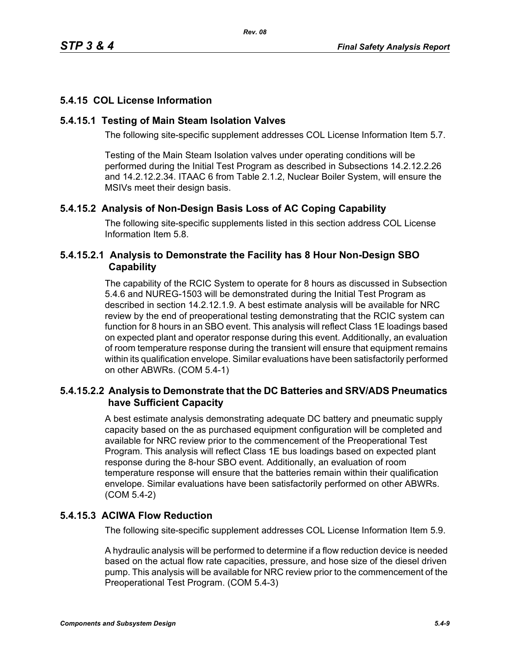# **5.4.15 COL License Information**

# **5.4.15.1 Testing of Main Steam Isolation Valves**

The following site-specific supplement addresses COL License Information Item 5.7.

Testing of the Main Steam Isolation valves under operating conditions will be performed during the Initial Test Program as described in Subsections 14.2.12.2.26 and 14.2.12.2.34. ITAAC 6 from Table 2.1.2, Nuclear Boiler System, will ensure the MSIVs meet their design basis.

# **5.4.15.2 Analysis of Non-Design Basis Loss of AC Coping Capability**

The following site-specific supplements listed in this section address COL License Information Item 5.8.

# **5.4.15.2.1 Analysis to Demonstrate the Facility has 8 Hour Non-Design SBO Capability**

The capability of the RCIC System to operate for 8 hours as discussed in Subsection 5.4.6 and NUREG-1503 will be demonstrated during the Initial Test Program as described in section 14.2.12.1.9. A best estimate analysis will be available for NRC review by the end of preoperational testing demonstrating that the RCIC system can function for 8 hours in an SBO event. This analysis will reflect Class 1E loadings based on expected plant and operator response during this event. Additionally, an evaluation of room temperature response during the transient will ensure that equipment remains within its qualification envelope. Similar evaluations have been satisfactorily performed on other ABWRs. (COM 5.4-1)

# **5.4.15.2.2 Analysis to Demonstrate that the DC Batteries and SRV/ADS Pneumatics have Sufficient Capacity**

A best estimate analysis demonstrating adequate DC battery and pneumatic supply capacity based on the as purchased equipment configuration will be completed and available for NRC review prior to the commencement of the Preoperational Test Program. This analysis will reflect Class 1E bus loadings based on expected plant response during the 8-hour SBO event. Additionally, an evaluation of room temperature response will ensure that the batteries remain within their qualification envelope. Similar evaluations have been satisfactorily performed on other ABWRs. (COM 5.4-2)

# **5.4.15.3 ACIWA Flow Reduction**

The following site-specific supplement addresses COL License Information Item 5.9.

A hydraulic analysis will be performed to determine if a flow reduction device is needed based on the actual flow rate capacities, pressure, and hose size of the diesel driven pump. This analysis will be available for NRC review prior to the commencement of the Preoperational Test Program. (COM 5.4-3)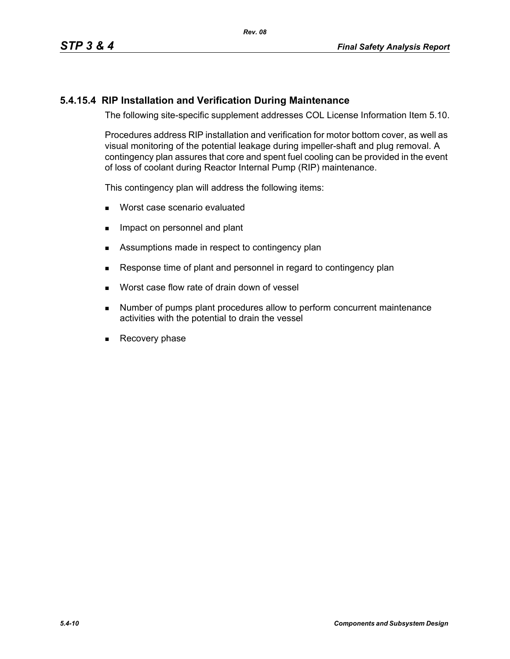# **5.4.15.4 RIP Installation and Verification During Maintenance**

The following site-specific supplement addresses COL License Information Item 5.10.

Procedures address RIP installation and verification for motor bottom cover, as well as visual monitoring of the potential leakage during impeller-shaft and plug removal. A contingency plan assures that core and spent fuel cooling can be provided in the event of loss of coolant during Reactor Internal Pump (RIP) maintenance.

This contingency plan will address the following items:

- **Worst case scenario evaluated**
- **IMPACT ON PERSONAL EXAMPLE 19** Impact on personnel and plant
- Assumptions made in respect to contingency plan
- Response time of plant and personnel in regard to contingency plan
- **Norst case flow rate of drain down of vessel**
- **Number of pumps plant procedures allow to perform concurrent maintenance** activities with the potential to drain the vessel
- Recovery phase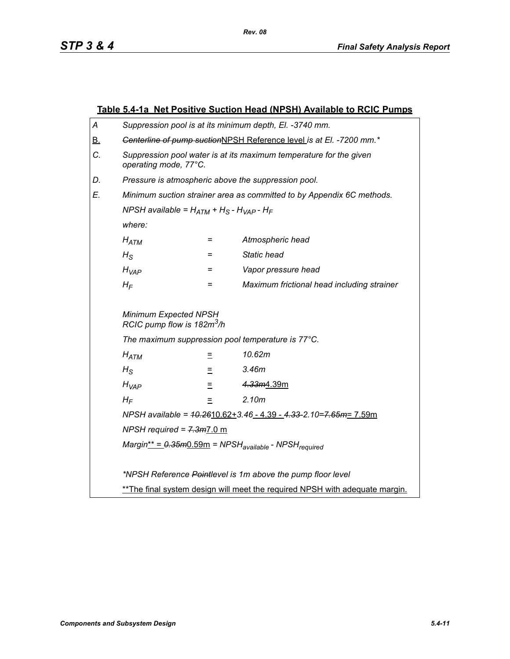|                              | <u>Table 5.4-1a Net Positive Suction Head (NPSH) Available to RCIC Pumps</u>                |                                                                 |                     |  |
|------------------------------|---------------------------------------------------------------------------------------------|-----------------------------------------------------------------|---------------------|--|
| Α                            | Suppression pool is at its minimum depth, El. -3740 mm.                                     |                                                                 |                     |  |
| <u>B.</u>                    | Genterline of pump suctionNPSH Reference level is at El. -7200 mm.*                         |                                                                 |                     |  |
| C.                           | Suppression pool water is at its maximum temperature for the given<br>operating mode, 77°C. |                                                                 |                     |  |
| D.                           | Pressure is atmospheric above the suppression pool.                                         |                                                                 |                     |  |
| Е.                           | Minimum suction strainer area as committed to by Appendix 6C methods.                       |                                                                 |                     |  |
|                              | NPSH available = $H_{ATM}$ + H <sub>S</sub> - H <sub>VAP</sub> - H <sub>F</sub>             |                                                                 |                     |  |
|                              | where:                                                                                      |                                                                 |                     |  |
|                              | $H_{ATM}$                                                                                   | $=$                                                             | Atmospheric head    |  |
|                              | $H_{\rm S}$                                                                                 | $=$                                                             | <b>Static head</b>  |  |
|                              | $H_{VAP}$                                                                                   | $=$                                                             | Vapor pressure head |  |
|                              | Maximum frictional head including strainer<br>$H_F$<br>$=$                                  |                                                                 |                     |  |
|                              |                                                                                             | Minimum Expected NPSH<br>RCIC pump flow is 182m <sup>3</sup> /h |                     |  |
|                              | The maximum suppression pool temperature is 77°C.                                           |                                                                 |                     |  |
|                              | 10.62m<br>$H_{ATM}$<br>Ξ                                                                    |                                                                 |                     |  |
|                              | 3.46m<br>$H_{\rm S}$<br>Ξ                                                                   |                                                                 |                     |  |
| 4.33m4.39m<br>$H_{VAP}$<br>Ξ |                                                                                             |                                                                 |                     |  |
| 2.10m<br>$H_F$<br>$\equiv$   |                                                                                             |                                                                 |                     |  |
|                              | NPSH available = $40.2610.62 + 3.46 - 4.39 - 4.33 - 2.10 = 7.65m = 7.59m$                   |                                                                 |                     |  |
|                              | NPSH required = $7.3m$ 7.0 m                                                                |                                                                 |                     |  |
|                              | $Margin^* = 0.35m0.59m = NPSHavailable - NPSHrequired$                                      |                                                                 |                     |  |
|                              |                                                                                             |                                                                 |                     |  |
|                              | *NPSH Reference Pointlevel is 1m above the pump floor level                                 |                                                                 |                     |  |
|                              | ** The final system design will meet the required NPSH with adequate margin.                |                                                                 |                     |  |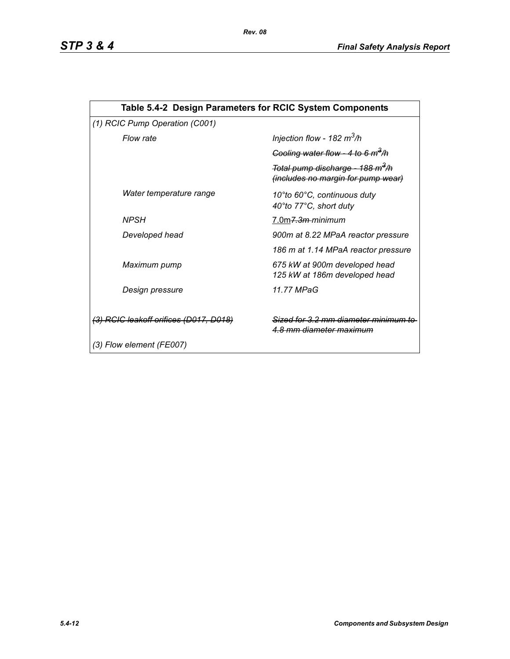| Table 5.4-2 Design Parameters for RCIC System Components |                                                                                    |  |  |  |  |
|----------------------------------------------------------|------------------------------------------------------------------------------------|--|--|--|--|
| (1) RCIC Pump Operation (C001)                           |                                                                                    |  |  |  |  |
| Flow rate                                                | Injection flow - 182 $m^3/h$                                                       |  |  |  |  |
|                                                          | Cooling water flow - 4 to 6 $m^3/h$                                                |  |  |  |  |
|                                                          | Total pump discharge - 188 m <sup>3</sup> /h<br>(includes no margin for pump wear) |  |  |  |  |
| Water temperature range                                  | 10°to 60°C, continuous duty<br>40°to 77°C, short duty                              |  |  |  |  |
| <b>NPSH</b>                                              | 7.0m <del>7.3m-</del> minimum                                                      |  |  |  |  |
| Developed head                                           | 900m at 8.22 MPaA reactor pressure                                                 |  |  |  |  |
|                                                          | 186 m at 1.14 MPaA reactor pressure                                                |  |  |  |  |
| Maximum pump                                             | 675 kW at 900m developed head<br>125 kW at 186m developed head                     |  |  |  |  |
| Design pressure                                          | 11.77 MPaG                                                                         |  |  |  |  |
| <del>(3) RCIC leakoff orifices (D017, D018)</del>        | Sized for 3.2 mm diameter minimu<br><u>4.8 mm diameter maximum</u>                 |  |  |  |  |
| (3) Flow element (FE007)                                 |                                                                                    |  |  |  |  |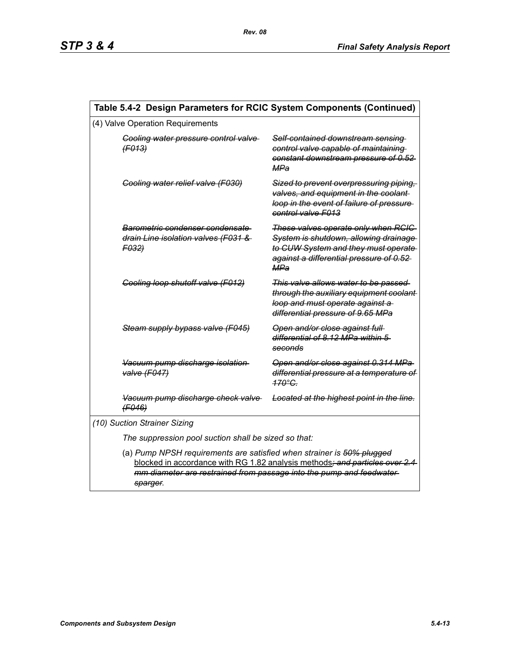| Table 5.4-2 Design Parameters for RCIC System Components (Continued)                                                                                                                                                                     |                                                                                                                                                                        |  |  |  |
|------------------------------------------------------------------------------------------------------------------------------------------------------------------------------------------------------------------------------------------|------------------------------------------------------------------------------------------------------------------------------------------------------------------------|--|--|--|
| (4) Valve Operation Requirements                                                                                                                                                                                                         |                                                                                                                                                                        |  |  |  |
| Cooling water pressure control valve<br>(F013)                                                                                                                                                                                           | Self-contained downstream sensing<br>control valve capable of maintaining<br>constant downstream pressure of 0.52<br>MPa                                               |  |  |  |
| Cooling water relief valve (F030)                                                                                                                                                                                                        | Sized to prevent overpressuring piping.<br>valves, and equipment in the coolant-<br>loop in the event of failure of pressure<br>control valve F013                     |  |  |  |
| Barometric condenser condensate<br>drain Line isolation valves (F031 &<br>F032)                                                                                                                                                          | These valves operate only when RCIC<br>System is shutdown, allowing drainage<br>to CUW System and they must operate<br>against a differential pressure of 0.52-<br>MPa |  |  |  |
| Cooling loop shutoff valve (F012)                                                                                                                                                                                                        | This valve allows water to be passed<br>through the auxiliary equipment coolant-<br>loop and must operate against a<br>differential pressure of 9.65 MPa               |  |  |  |
| Steam supply bypass valve (F045)                                                                                                                                                                                                         | Open and/or close against full<br>differential of 8.12 MPa within 5<br>seconds                                                                                         |  |  |  |
| Vacuum pump discharge isolation<br>valve (F047)                                                                                                                                                                                          | Open and/or close against 0.314 MPa<br>differential pressure at a temperature of<br>$170^\circ G$                                                                      |  |  |  |
| Vacuum pump discharge check valve<br>(F046)                                                                                                                                                                                              | Located at the highest point in the line.                                                                                                                              |  |  |  |
| (10) Suction Strainer Sizing                                                                                                                                                                                                             |                                                                                                                                                                        |  |  |  |
| The suppression pool suction shall be sized so that:                                                                                                                                                                                     |                                                                                                                                                                        |  |  |  |
| (a) Pump NPSH requirements are satisfied when strainer is 50% plugged<br>blocked in accordance with RG 1.82 analysis methods; and particles over 2.4<br>mm diameter are restrained from passage into the pump and feedwater-<br>sparger. |                                                                                                                                                                        |  |  |  |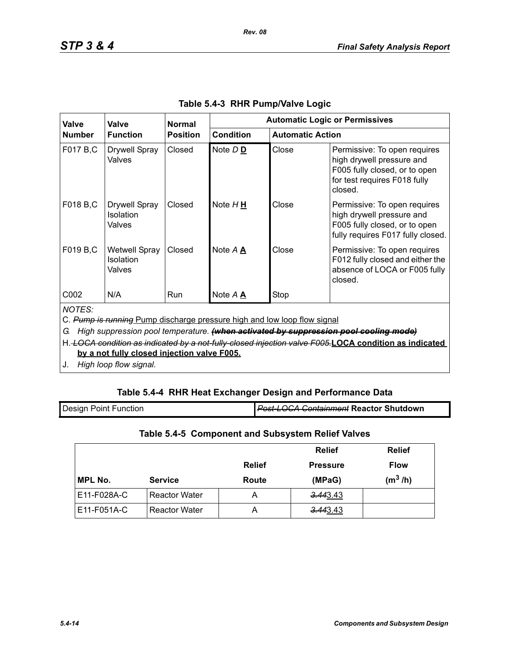| Valve                                                                                                                                                                                                                                                                                                                                           | Valve                                              | <b>Normal</b>   | <b>Automatic Logic or Permissives</b> |                         |                                                                                                                                       |
|-------------------------------------------------------------------------------------------------------------------------------------------------------------------------------------------------------------------------------------------------------------------------------------------------------------------------------------------------|----------------------------------------------------|-----------------|---------------------------------------|-------------------------|---------------------------------------------------------------------------------------------------------------------------------------|
| <b>Number</b>                                                                                                                                                                                                                                                                                                                                   | <b>Function</b>                                    | <b>Position</b> | <b>Condition</b>                      | <b>Automatic Action</b> |                                                                                                                                       |
| F017 B,C                                                                                                                                                                                                                                                                                                                                        | <b>Drywell Spray</b><br>Valves                     | Closed          | Note D <sub>D</sub>                   | Close                   | Permissive: To open requires<br>high drywell pressure and<br>F005 fully closed, or to open<br>for test requires F018 fully<br>closed. |
| F018 B,C                                                                                                                                                                                                                                                                                                                                        | <b>Drywell Spray</b><br><b>Isolation</b><br>Valves | Closed          | Note $H \underline{H}$                | Close                   | Permissive: To open requires<br>high drywell pressure and<br>F005 fully closed, or to open<br>fully requires F017 fully closed.       |
| F019 B,C                                                                                                                                                                                                                                                                                                                                        | <b>Wetwell Spray</b><br>Isolation<br>Valves        | Closed          | Note A A                              | Close                   | Permissive: To open requires<br>F012 fully closed and either the<br>absence of LOCA or F005 fully<br>closed.                          |
| C <sub>0</sub> 02                                                                                                                                                                                                                                                                                                                               | N/A                                                | <b>Run</b>      | Note A A                              | Stop                    |                                                                                                                                       |
| <b>NOTES:</b><br>C. Pump is running Pump discharge pressure high and low loop flow signal<br>High suppression pool temperature. (when activated by suppression pool cooling mode)<br>G.<br>H. LOCA condition as indicated by a not-fully-closed injection valve F005.LOCA condition as indicated<br>by a not fully closed injection valve F005. |                                                    |                 |                                       |                         |                                                                                                                                       |

*Rev. 08*

J. *High loop flow signal.*

# **Table 5.4-4 RHR Heat Exchanger Design and Performance Data**

| <b>Design Point Function</b> | <b>Post-LOCA Containment Reactor Shutdown</b> |
|------------------------------|-----------------------------------------------|
|                              |                                               |

# **Table 5.4-5 Component and Subsystem Relief Valves**

|                |                      |               | <b>Relief</b>   | <b>Relief</b> |
|----------------|----------------------|---------------|-----------------|---------------|
|                |                      | <b>Relief</b> | <b>Pressure</b> | <b>Flow</b>   |
| <b>MPL No.</b> | <b>Service</b>       | Route         | (MPaG)          | $(m^3/h)$     |
| E11-F028A-C    | <b>Reactor Water</b> | Α             | 3.443.43        |               |
| E11-F051A-C    | <b>Reactor Water</b> | А             | 3.443.43        |               |

I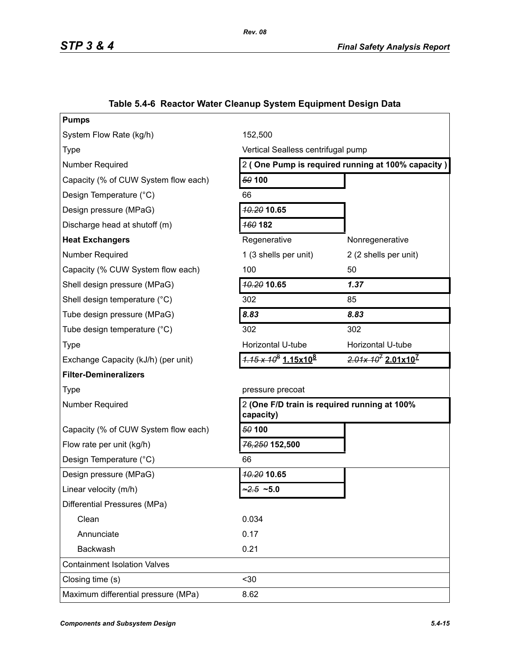| System Flow Rate (kg/h)<br>152,500<br>Vertical Sealless centrifugal pump<br><b>Type</b><br>2 (One Pump is required running at 100% capacity)<br>Number Required<br>50 100<br>Capacity (% of CUW System flow each)<br>Design Temperature (°C)<br>66<br><b>40.20 10.65</b><br>Design pressure (MPaG)<br>160 182<br>Discharge head at shutoff (m)<br><b>Heat Exchangers</b><br>Regenerative<br>Nonregenerative<br>Number Required<br>2 (2 shells per unit)<br>1 (3 shells per unit)<br>100<br>50<br>Capacity (% CUW System flow each)<br>10.20 10.65<br>1.37<br>Shell design pressure (MPaG)<br>302<br>Shell design temperature (°C)<br>85<br>8.83<br>8.83<br>Tube design pressure (MPaG)<br>302<br>302<br>Tube design temperature (°C)<br>Horizontal U-tube<br>Horizontal U-tube<br><b>Type</b><br>$\frac{1.15 \times 10^8}{1.15 \times 10^8}$<br>$2.01x 107 2.01x107$<br>Exchange Capacity (kJ/h) (per unit)<br><b>Filter-Demineralizers</b><br><b>Type</b><br>pressure precoat<br>2 (One F/D train is required running at 100%<br><b>Number Required</b><br>capacity)<br>50 100<br>Capacity (% of CUW System flow each)<br>76,250 152,500<br>Flow rate per unit (kg/h)<br>Design Temperature (°C)<br>66<br>10.20 10.65<br>Design pressure (MPaG)<br>$2.5 - 5.0$<br>Linear velocity (m/h)<br>Differential Pressures (MPa)<br>Clean<br>0.034<br>Annunciate<br>0.17<br>Backwash<br>0.21<br><b>Containment Isolation Valves</b><br>$30$<br>Closing time (s)<br>Maximum differential pressure (MPa)<br>8.62 | <b>Pumps</b> |  |  |  |
|--------------------------------------------------------------------------------------------------------------------------------------------------------------------------------------------------------------------------------------------------------------------------------------------------------------------------------------------------------------------------------------------------------------------------------------------------------------------------------------------------------------------------------------------------------------------------------------------------------------------------------------------------------------------------------------------------------------------------------------------------------------------------------------------------------------------------------------------------------------------------------------------------------------------------------------------------------------------------------------------------------------------------------------------------------------------------------------------------------------------------------------------------------------------------------------------------------------------------------------------------------------------------------------------------------------------------------------------------------------------------------------------------------------------------------------------------------------------------------------------------------|--------------|--|--|--|
|                                                                                                                                                                                                                                                                                                                                                                                                                                                                                                                                                                                                                                                                                                                                                                                                                                                                                                                                                                                                                                                                                                                                                                                                                                                                                                                                                                                                                                                                                                        |              |  |  |  |
|                                                                                                                                                                                                                                                                                                                                                                                                                                                                                                                                                                                                                                                                                                                                                                                                                                                                                                                                                                                                                                                                                                                                                                                                                                                                                                                                                                                                                                                                                                        |              |  |  |  |
|                                                                                                                                                                                                                                                                                                                                                                                                                                                                                                                                                                                                                                                                                                                                                                                                                                                                                                                                                                                                                                                                                                                                                                                                                                                                                                                                                                                                                                                                                                        |              |  |  |  |
|                                                                                                                                                                                                                                                                                                                                                                                                                                                                                                                                                                                                                                                                                                                                                                                                                                                                                                                                                                                                                                                                                                                                                                                                                                                                                                                                                                                                                                                                                                        |              |  |  |  |
|                                                                                                                                                                                                                                                                                                                                                                                                                                                                                                                                                                                                                                                                                                                                                                                                                                                                                                                                                                                                                                                                                                                                                                                                                                                                                                                                                                                                                                                                                                        |              |  |  |  |
|                                                                                                                                                                                                                                                                                                                                                                                                                                                                                                                                                                                                                                                                                                                                                                                                                                                                                                                                                                                                                                                                                                                                                                                                                                                                                                                                                                                                                                                                                                        |              |  |  |  |
|                                                                                                                                                                                                                                                                                                                                                                                                                                                                                                                                                                                                                                                                                                                                                                                                                                                                                                                                                                                                                                                                                                                                                                                                                                                                                                                                                                                                                                                                                                        |              |  |  |  |
|                                                                                                                                                                                                                                                                                                                                                                                                                                                                                                                                                                                                                                                                                                                                                                                                                                                                                                                                                                                                                                                                                                                                                                                                                                                                                                                                                                                                                                                                                                        |              |  |  |  |
|                                                                                                                                                                                                                                                                                                                                                                                                                                                                                                                                                                                                                                                                                                                                                                                                                                                                                                                                                                                                                                                                                                                                                                                                                                                                                                                                                                                                                                                                                                        |              |  |  |  |
|                                                                                                                                                                                                                                                                                                                                                                                                                                                                                                                                                                                                                                                                                                                                                                                                                                                                                                                                                                                                                                                                                                                                                                                                                                                                                                                                                                                                                                                                                                        |              |  |  |  |
|                                                                                                                                                                                                                                                                                                                                                                                                                                                                                                                                                                                                                                                                                                                                                                                                                                                                                                                                                                                                                                                                                                                                                                                                                                                                                                                                                                                                                                                                                                        |              |  |  |  |
|                                                                                                                                                                                                                                                                                                                                                                                                                                                                                                                                                                                                                                                                                                                                                                                                                                                                                                                                                                                                                                                                                                                                                                                                                                                                                                                                                                                                                                                                                                        |              |  |  |  |
|                                                                                                                                                                                                                                                                                                                                                                                                                                                                                                                                                                                                                                                                                                                                                                                                                                                                                                                                                                                                                                                                                                                                                                                                                                                                                                                                                                                                                                                                                                        |              |  |  |  |
|                                                                                                                                                                                                                                                                                                                                                                                                                                                                                                                                                                                                                                                                                                                                                                                                                                                                                                                                                                                                                                                                                                                                                                                                                                                                                                                                                                                                                                                                                                        |              |  |  |  |
|                                                                                                                                                                                                                                                                                                                                                                                                                                                                                                                                                                                                                                                                                                                                                                                                                                                                                                                                                                                                                                                                                                                                                                                                                                                                                                                                                                                                                                                                                                        |              |  |  |  |
|                                                                                                                                                                                                                                                                                                                                                                                                                                                                                                                                                                                                                                                                                                                                                                                                                                                                                                                                                                                                                                                                                                                                                                                                                                                                                                                                                                                                                                                                                                        |              |  |  |  |
|                                                                                                                                                                                                                                                                                                                                                                                                                                                                                                                                                                                                                                                                                                                                                                                                                                                                                                                                                                                                                                                                                                                                                                                                                                                                                                                                                                                                                                                                                                        |              |  |  |  |
|                                                                                                                                                                                                                                                                                                                                                                                                                                                                                                                                                                                                                                                                                                                                                                                                                                                                                                                                                                                                                                                                                                                                                                                                                                                                                                                                                                                                                                                                                                        |              |  |  |  |
|                                                                                                                                                                                                                                                                                                                                                                                                                                                                                                                                                                                                                                                                                                                                                                                                                                                                                                                                                                                                                                                                                                                                                                                                                                                                                                                                                                                                                                                                                                        |              |  |  |  |
|                                                                                                                                                                                                                                                                                                                                                                                                                                                                                                                                                                                                                                                                                                                                                                                                                                                                                                                                                                                                                                                                                                                                                                                                                                                                                                                                                                                                                                                                                                        |              |  |  |  |
|                                                                                                                                                                                                                                                                                                                                                                                                                                                                                                                                                                                                                                                                                                                                                                                                                                                                                                                                                                                                                                                                                                                                                                                                                                                                                                                                                                                                                                                                                                        |              |  |  |  |
|                                                                                                                                                                                                                                                                                                                                                                                                                                                                                                                                                                                                                                                                                                                                                                                                                                                                                                                                                                                                                                                                                                                                                                                                                                                                                                                                                                                                                                                                                                        |              |  |  |  |
|                                                                                                                                                                                                                                                                                                                                                                                                                                                                                                                                                                                                                                                                                                                                                                                                                                                                                                                                                                                                                                                                                                                                                                                                                                                                                                                                                                                                                                                                                                        |              |  |  |  |
|                                                                                                                                                                                                                                                                                                                                                                                                                                                                                                                                                                                                                                                                                                                                                                                                                                                                                                                                                                                                                                                                                                                                                                                                                                                                                                                                                                                                                                                                                                        |              |  |  |  |
|                                                                                                                                                                                                                                                                                                                                                                                                                                                                                                                                                                                                                                                                                                                                                                                                                                                                                                                                                                                                                                                                                                                                                                                                                                                                                                                                                                                                                                                                                                        |              |  |  |  |
|                                                                                                                                                                                                                                                                                                                                                                                                                                                                                                                                                                                                                                                                                                                                                                                                                                                                                                                                                                                                                                                                                                                                                                                                                                                                                                                                                                                                                                                                                                        |              |  |  |  |
|                                                                                                                                                                                                                                                                                                                                                                                                                                                                                                                                                                                                                                                                                                                                                                                                                                                                                                                                                                                                                                                                                                                                                                                                                                                                                                                                                                                                                                                                                                        |              |  |  |  |
|                                                                                                                                                                                                                                                                                                                                                                                                                                                                                                                                                                                                                                                                                                                                                                                                                                                                                                                                                                                                                                                                                                                                                                                                                                                                                                                                                                                                                                                                                                        |              |  |  |  |
|                                                                                                                                                                                                                                                                                                                                                                                                                                                                                                                                                                                                                                                                                                                                                                                                                                                                                                                                                                                                                                                                                                                                                                                                                                                                                                                                                                                                                                                                                                        |              |  |  |  |
|                                                                                                                                                                                                                                                                                                                                                                                                                                                                                                                                                                                                                                                                                                                                                                                                                                                                                                                                                                                                                                                                                                                                                                                                                                                                                                                                                                                                                                                                                                        |              |  |  |  |
|                                                                                                                                                                                                                                                                                                                                                                                                                                                                                                                                                                                                                                                                                                                                                                                                                                                                                                                                                                                                                                                                                                                                                                                                                                                                                                                                                                                                                                                                                                        |              |  |  |  |

# **Table 5.4-6 Reactor Water Cleanup System Equipment Design Data**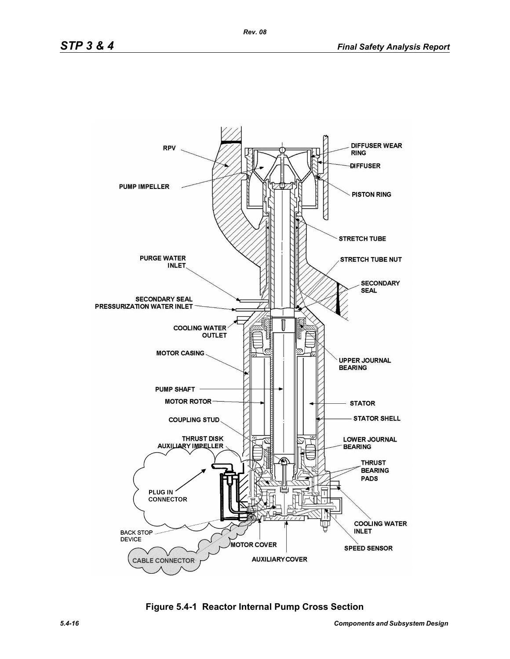

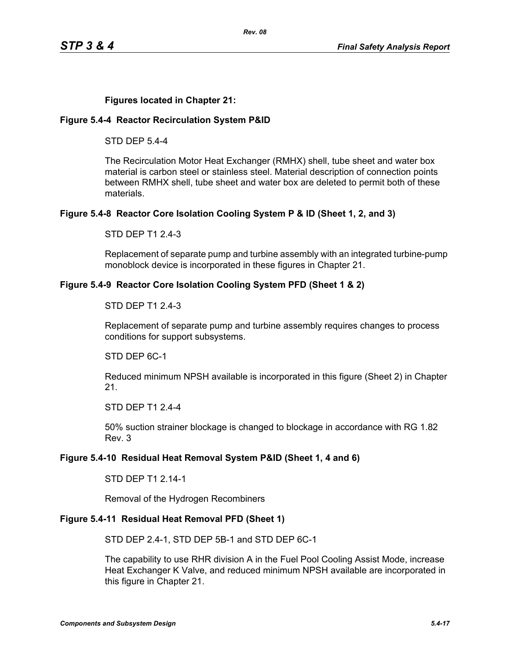## **Figures located in Chapter 21:**

### **Figure 5.4-4 Reactor Recirculation System P&ID**

STD DEP 5.4-4

The Recirculation Motor Heat Exchanger (RMHX) shell, tube sheet and water box material is carbon steel or stainless steel. Material description of connection points between RMHX shell, tube sheet and water box are deleted to permit both of these materials.

### **Figure 5.4-8 Reactor Core Isolation Cooling System P & ID (Sheet 1, 2, and 3)**

STD DEP T1 2.4-3

Replacement of separate pump and turbine assembly with an integrated turbine-pump monoblock device is incorporated in these figures in Chapter 21.

### **Figure 5.4-9 Reactor Core Isolation Cooling System PFD (Sheet 1 & 2)**

#### STD DEP T1 2.4-3

Replacement of separate pump and turbine assembly requires changes to process conditions for support subsystems.

STD DEP 6C-1

Reduced minimum NPSH available is incorporated in this figure (Sheet 2) in Chapter 21.

STD DEP T1 2.4-4

50% suction strainer blockage is changed to blockage in accordance with RG 1.82 Rev. 3

## **Figure 5.4-10 Residual Heat Removal System P&ID (Sheet 1, 4 and 6)**

STD DEP T1 2.14-1

Removal of the Hydrogen Recombiners

## **Figure 5.4-11 Residual Heat Removal PFD (Sheet 1)**

STD DEP 2.4-1, STD DEP 5B-1 and STD DEP 6C-1

The capability to use RHR division A in the Fuel Pool Cooling Assist Mode, increase Heat Exchanger K Valve, and reduced minimum NPSH available are incorporated in this figure in Chapter 21.